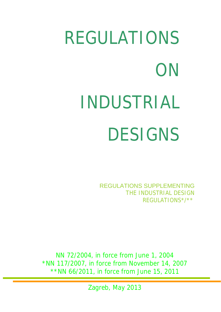# REGULATIONS **ON** INDUSTRIAL DESIGNS

REGULATIONS SUPPLEMENTING THE INDUSTRIAL DESIGN REGULATIONS\*/\*\*

NN 72/2004, in force from June 1, 2004 \*NN 117/2007, in force from November 14, 2007 \*\*NN 66/2011, in force from June 15, 2011

Zagreb, May 2013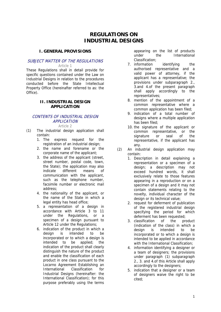# **REGULATIONS ON INDUSTRIAL DESIGNS**

#### **I. GENERAL PROVISIONS**

#### SUBJECT MATTER OF THE REGULATIONS

Article 1

These Regulations shall in detail provide for specific questions contained under the Law on Industrial Designs in relation to the procedures conducted before the State Intellectual Property Office (hereinafter referred to as: the Office).

#### **II. INDUSTRIAL DESIGN APPLICATION**

## CONTENTS OF INDUSTRIAL DESIGN APPLICATION

Article 2

- (1) The industrial design application shall contain:
	- 1. The express request for the registration of an industrial design;
	- 2. the name and forename or the corporate name of the applicant;
	- 3. the address of the applicant (street, street number, postal code, town, the State); the application may also indicate different means of communication with the applicant, such as the telephone number, facsimile number or electronic mail address;
	- 4. the nationality of the applicant, or the name of the State in which a legal entity has head office;
	- 5. a representation of a design in accordance with Article 3 to 11 under the Regulations, or a specimen of a design pursuant to Article 12 under the Regulations;
	- 6. indication of the product in which a design is intended to be incorporated or to which a design is intended to be applied; the indication of the product shall clearly distinguish the nature of the product and enable the classification of each product in one class pursuant to the Locarno Agreement Establishing an International Classification for Industrial Designs (hereinafter: the International Classification); for this purpose preferably using the terms

appearing on the list of products under the International Classification;

- 7. information identifying the authorised representative and a valid power of attorney, if the applicant has a representative; the provisions under subparagraph 2., 3.and 4.of the present paragraph shall apply accordingly to the representatives;
- 8. mention of the appointment of a common representative where a common application has been filed;
- 9. indication of a total number of designs where a multiple application has been filed;
- 10. the signature of the applicant or common representative, or the signature or seal of the representative, if the applicant has any.
- (2) An industrial design application may contain:
	- 1. Description in detail explaining a representation or a specimen of a design; a description may not exceed hundred words, it shall exclusively relate to those features appearing in a reproduction or on a specimen of a design and it may not contain statements relating to the novelty, individual character of the design or its technical value;
	- 2. request for deferment of publication of the registered industrial design specifying the period for which deferment has been requested;
	- 3. classification of the product (indication of the class) in which a design is intended to be incorporated or to which a design is intended to be applied in accordance with the International Classification;
	- 4. information identifying a designer or a team of designers; the provisions under paragraph (1) subparagraph 2., 3. and 4.of this Article shall apply accordingly to the designers;
	- 5. indication that a designer or a team of designers waive the right to be cited;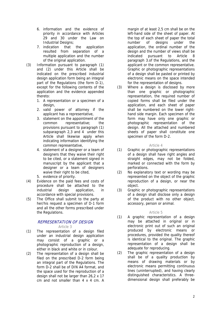- 6. information and the evidence of priority in accordance with Articles 29 and 30 under the Law on Industrial Designs;
- 7. indication that the application resulted from separation of a multiple application and the number of the original application.
- (3) Information pursuant to paragraph (1) and (2) under this Article shall be indicated on the prescribed industrial design application form being an integral part of the Regulations (the form D-1), except for the following contents of the application and the evidence appended thereto:
	- 1. A representation or a specimen of a design,
	- 2. valid power of attorney if the applicant has a representative,
	- 3. statement on the appointment of the common representative; the provisions pursuant to paragraph (1) subparagraph 2,3 and 4 under this Article shall likewise apply when indicating information identifying the common representative,
	- 4. statement of a designer or a team of designers that they waive their right to be cited, or a statement signed in manuscript by the applicant that a designer or a team of designers waive their right to be cited,
	- 5. evidence of priority.
- (4) Evidence on the paid fees and costs of procedure shall be attached to the industrial design application, in accordance with special provisions.
- (5) The Office shall submit to the party at her/his request a specimen of D-1 form and all the other forms prescribed under the Regulations.

#### REPRESENTATION OF DESIGN Article 3

- (1) The representation of a design filed under an industrial design application may consist of a graphic or a photographic reproduction of a design, either in black and white or in colour.
- (2) The representation of a design shall be filed on the prescribed D-2 form being an integral part of the Regulations. The form D-2 shall be of DIN A4 format, and the space used for the reproduction of a design shall not be larger than 26,2 x 17 cm and not smaller than 4 x 4 cm. A

margin of at least 2,5 cm shall be on the left-hand side of the sheet of paper. At the top of each sheet of paper the total number of designs under the application, the ordinal number of the design and the number of views shall be indicated pursuant to Article 8 paragraph 3.of the Regulations, and the applicant or the common representative. Graphic or photographic representations of a design shall be pasted or printed by electronic means on the space intended for the representation of designs.

(3) Where a design is disclosed by more than one graphic or photographic representation, the required number of copied forms shall be filed under the application, and each sheet of paper shall be numbered on the lower righthand side margin. Each specimen of the form may have only one graphic or photographic representation of the design. All the attached and numbered sheets of paper shall constitute one specimen of the form D-2.

#### Article 4

- (1) Graphic or photographic representations of a design shall have right angles and straight edges, may not be folded, marked or connected with the form by perforations.
- (2) No explanatory text or wording may be represented on the object of the graphic reproduction of a design, or near the object.
- (3) Graphic or photographic representations of a design shall disclose only a design of the product with no other object, accessory, person or animal.

#### Article 5

- (1) A graphic representation of a design may be attached in original or in electronic print out of such an original produced by electronic means or procedures, provided the quality thereof is identical to the original. The graphic representation of a design shall be adequate for reproducing.
- (2) The graphic representation of a design shall be of a quality production by means of drawing materials or by electronic means permitting continuous lines (uninterrupted), and having clearly distinguished characteristics. A threedimensional design shall preferably be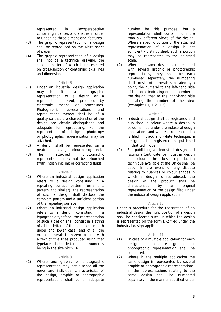represented in view/perspective containing nuances and shades in order to underline three-dimensional features.

- (3) The graphic representation of a design shall be reproduced on the white sheet of paper.
- (4) The graphic representation of a design shall not be a technical drawing, the subject matter of which is represented on cross-section or containing axis lines and dimensions.

#### Article 6

- (1) Under an industrial design application may be filed a photographic representation of a design or a reproduction thereof, produced by electronic means or procedures. Photographic representations and reproductions thereof shall be of a quality so that the characteristics of the design are clearly distinguished and adequate for reproducing. For the representation of a design no photocopy or photographic representation may be attached.
- (2) A design shall be represented on a neutral and a single colour background.
- (3) The attached photographic representation may not be retouched (with Indian ink, ink or correcting fluid).

#### Article 7

- (1) Where an industrial design application refers to a design consisting in a repeating surface pattern (ornament, pattern and similar), the representation of such a design shall disclose the complete pattern and a sufficient portion of the repeating surface.
- (2) Where an industrial design application refers to a design consisting in a typographic typeface, the representation of such a design shall consist in a string of all the letters of the alphabet, in both upper and lower case, and of all the Arabic numerals from zero to nine, with a text of five lines produced using that typeface, both letters and numerals being in the size pitch 16.

#### Article 8

(1) Where one graphic or photographic representation may not disclose all the novel and individual characteristics of the design, graphic or photographic representations shall be of adequate

number for this purpose, but a representation shall contain no more than six different views of the design. Where a specific portion of the attached representation of a design is not sufficiently distinguished, such a portion may be represented to the enlarged scale.

(2) Where the same design is represented with several graphic or photographic reproductions, they shall be each numbered separately, the numbering shall consist of numerals separated by a point, the numeral to the left-hand side of the point indicating ordinal number of the design, that to the right-hand side indicating the number of the view (example:1.1, 1.2, 1.3).

#### Article 9

- (1) Industrial design shall be registered and published in colour where a design in colour is filed under the industrial design application, and where a representation is filed in black and white technique, a design shall be registered and published in that technique.
- (2) For publishing an industrial design and issuing a Certificate for industrial design in colour, the best reproduction technique available at the Office shall be used. In the event of any dispute relating to nuances or colour shades in which a design is reproduced, the design of the product shall be characterised by an original representation of the design filed under the industrial design application.

#### Article 10

Under a procedure for the registration of an industrial design the right position of a design shall be considered such, in which the design is represented on the form D-2 filed under the industrial design application.

#### Article 11

- (1) In case of a multiple application for each design a separate graphic or photographic representation shall be submitted.
- (2) Where in the multiple application the same design is represented by several graphic or photographic representations, all the representations relating to the same design shall be numbered separately in the manner specified under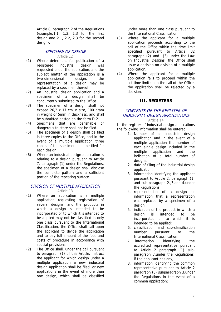Article 8, paragraph 2.of the Regulations  $(example: 1.1, 1.2, 1.3$  for the first design and 2.1, 2.2, 2.3 for the second design).

#### SPECIMEN OF DESIGN

Article 12

- (1) Where deferment for publication of a registered industrial design was requested under the application, and the subject matter of the application is a two-dimensional design, the representation of a design may be replaced by a specimen thereof.
- (2) An industrial design application and a specimen of a design shall be concurrently submitted to the Office.
- (3) The specimen of a design shall not exceed 26,2 x 17 cm in size, 100 gram in weight or 5mm in thickness, and shall be submitted pasted on the form D-2.
- (4) Specimens that are perishable or dangerous to store shall not be filed.
- (5) The specimen of a design shall be filed in three copies to the Office, and in the event of a multiple application three copies of the specimen shall be filed for each design.
- (6) Where an industrial design application is relating to a design pursuant to Article 7, paragraph (1) under the Regulations, the specimen of a design shall disclose the complete pattern and a sufficient portion of the repeating surface.

#### DIVISION OF MULTIPLE APPLICATION Article 13

- (1) Where an application is a multiple application requesting registration of several designs, and the products in which a design is intended to be incorporated or to which it is intended to be applied may not be classified in only one class pursuant to the International Classification, the Office shall call upon the applicant to divide the application and to pay full amount of the fees and costs of procedure in accordance with special provisions.
- (2) The Office shall, under the call pursuant to paragraph (1) of this Article, instruct the applicant for which design under a multiple application a new industrial design application shall be filed, or new applications in the event of more than one design, which shall be classified

under more than one class pursuant to the International Classification.

- (3) Where the applicant for a multiple application proceeds according to the call of the Office within the time limit specified pursuant to Article 32 paragraph (2) and (3) under the Law on Industrial Designs, the Office shall issue a decision on division of a multiple application.
- (4) Where the applicant for a multiple application fails to proceed within the set time limit upon the call of the Office, the application shall be rejected by a decision.

#### **III. REGISTERS**

# CONTENTS OF THE REGISTER OF INDUSTRIAL DESIGN APPLICATIONS

#### Article 14

In the register of industrial design applications the following information shall be entered:

- 1. Number of an industrial design application and in the event of a multiple application the number of each single design included in the multiple application and the indication of a total number of desians:
- 2. date of filing of the industrial design application;
- 3. information identifying the applicant pursuant to Article 2, paragraph (1) and sub-paragraph 2.,3.and 4.under the Regulations;
- 4. representation of a design or information that a representation was replaced by a specimen of a design:
- 5. indication of the product in which a design is intended to be incorporated or to which it is intended to be applied;
- 6. classification and sub-classification number pursuant to the International Classification;
- 7. information identifying the accredited representative pursuant to Article 2 paragraph (1) subparagraph 7.under the Regulations, if the applicant has any;
- 8. information identifying the common representative pursuant to Article 2 paragraph (3) subparagraph 3.under the Regulations in the event of a common application;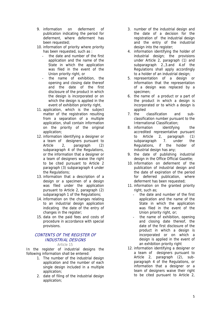- 9. information on deferment of publication indicating the period for deferment, where deferment has been requested;
- 10. information of priority where priority has been requested, such as :
	- the date and number of the first application and the name of the State in which the application was filed in the event of the Union priority right, or
	- the name of exhibition, the opening and closing date thereof and the date of the first disclosure of the product in which the design is incorporated or on which the design is applied in the event of exhibition priority right,
- 11. application, which is the subject matter of the registration resulting from a separation of a multiple application, shall contain information on the priority of the original application;
- 12. information identifying a designer or a team of designers pursuant to Article 2, paragraph (2) subparagraph 4 of the Regulations, or the information that a designer or a team of designers waive the right to be cited pursuant to Article 2 paragraph (3) subparagraph 4 under the Regulations;
- 13. information that a description of a design or a specimen of a design was filed under the application pursuant to Article 2, paragraph (2) subparagraph 1 of the Regulations;
- 14. information on the changes relating to an industrial design application indicating the date of the entry of changes in the register;
- 15. data on the paid fees and costs of procedure in accordance with special provisions.

#### CONTENTS OF THE REGISTER OF INDUSTRIAL DESIGNS Article 15

In the register of industrial designs the following information shall be entered:

- 1. The number of the industrial design application and the number of each single design included in a multiple application;
- 2. date of filing of the industrial design application;
- 3. number of the industrial design and the date of a decision for the registration of the industrial design and the entry of the industrial design into the register;
- 4. information identifying the holder of industrial design; the provisions under Article 2, paragraph (1) and subparagraph 2.,3.and 4.of the Regulations shall apply accordingly to a holder of an industrial design;
- 5. representation of a design or information that the representation of a design was replaced by a specimen;
- 6. the name of a product or a part of the product in which a design is incorporated or to which a design is applied
- 7. the classification and subclassification number pursuant to the International Classification;
- 8. information identifying the accredited representative pursuant to Article 2, paragraph (1)<br>subparagraph 7, under the subparagraph 7. under the Regulations, if the holder of industrial design has any;
- 9. the date of publishing industrial design in the Office Official Gazette;
- 10. information on deferment of the publication of industrial design and the date of expiration of the period for deferred publication, where deferment has been requested;
- 11. information on the granted priority right, such as;
	- the date and number of the first application and the name of the State in which the application was filed in the event of the Union priority right, or;
	- the name of exhibition, opening and closing date thereof, the date of the first disclosure of the product in which a design is incorporated or on which a design is applied in the event of an exhibition priority right
- 12. information identifying a designer or a team of designers pursuant to Article 2, paragraph (2), subparagraph 4 of the Regulations, or information that a designer or a team of designers waive their right to be cited pursuant to Article 2,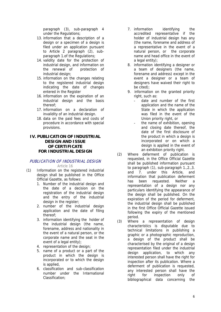paragraph (3), sub-paragraph 4 under the Regulations;

- 13. information that a description of a design or a specimen of a design is filed under an application pursuant to Article 2 paragraph (2), subparagraph 1.of the Regulations;
- 14. validity date for the protection of industrial design, and information on the renewal of protection of industrial design;
- 15. information on the changes relating to the registered industrial design indicating the date of changes entered in the Register
- 16. information on the expiration of an industrial design and the basis thereof;
- 17. information on a declaration of invalidity of an industrial design.
- 18. data on the paid fees and costs of procedure in accordance with special provisions.

#### **IV. PUBLICATION OF INDUSTRIAL DESIGN AND ISSUE OF CERTIFICATE FOR INDUSTRIAL DESIGN**

#### PUBLICATION OF INDUSTRIAL DESIGN Article 16

- (1) Information on the registered industrial design shall be published in the Office Official Gazette, as follows:
	- 1. Number of the industrial design and the date of a decision on the registration of the industrial design and the entry of the industrial design in the register;
	- 2. number of the industrial design application and the date of filing thereof;
	- 3. information identifying the holder of the industrial design (the name, forename, address and nationality in the event of a natural person, or the corporate name and the seat in the event of a legal entity);
	- 4. representation of the design;
	- 5. name of a product or a part of the product in which the design is incorporated or to which the design is applied,
	- 6. classification and sub-classification number under the International Classification;
- 7. information identifying the accredited representative if the holder of industrial design has any (the name, forename and address of a representative in the event of a natural person, or the corporate name and head office in the event of a legal entity);
- 8. information identifying a designer or a team of designers (the name, forename and address) except in the event a designer or a team of designers have waived their right to be cited);
- 9. information on the granted priority right, such as:
	- date and number of the first application and the name of the State in which the application was filed in the event of the Union priority right, or
	- the name of exhibition, opening and closing date thereof, the date of the first disclosure of the product in which a design is incorporated or on which a design is applied in the event of an exhibition priority right.
- (2) Where deferment of publication is requested, in the Office Official Gazette shall be published information pursuant to paragraph (1), sub-paragraph 1.,2.,3. and 7. under this Article, and information that publication deferment has been requested. Neither a representation of a design nor any particulars identifying the appearance of the design shall be published. On the expiration of the period for deferment, the industrial design shall be published in the first Office Official Gazette issued following the expiry of the mentioned period.
- (3) Where a representation of design characteristics is disputable due to technical limitations in publishing a graphic or a photographic reproduction, a design of the product shall be characterised by the original of a design representation filed under the industrial design application, to which any interested person shall have the right for inspection after its publication. Where a deferment of publication is requested, any interested person shall have the right for inspection only of bibliographical data concerning the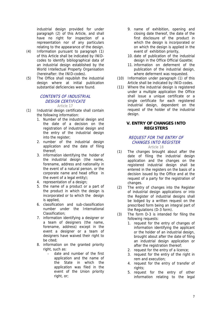industrial design provided for under paragraph (2) of this Article, and shall have no right for inspection of a representation nor of any particulars relating to the appearance of the design.

- (4) Information pursuant to paragraph (1) of this Article shall be indicated by INIDcodes to identify bibliographical data of an industrial design established by the World Intellectual Property Organisation (hereinafter: the INID-codes).
- (5) The Office shall republish the industrial design where at initial publication substantial deficiencies were found.

#### CONTENTS OF INDUSTRIAL DESIGN CERTIFICATE Article 17

- (1) Industrial design certificate shall contain the following information:
	- 1. Number of the industrial design and the date of a decision on the registration of industrial design and the entry of the industrial design into the register;
	- 2. number of the industrial design application and the date of filing thereof;
	- 3. information identifying the holder of the industrial design (the name, forename, address and nationality in the event of a natural person, or the corporate name and head office in the event of a legal entity);
	- 4. representation of a design:
	- 5. the name of a product or a part of the product in which the design is incorporated or to which the design is applied,
	- 6. classification and sub-classification number under the International Classification;
	- 7. information identifying a designer or a team of designers (the name, forename, address) except in the event a designer or a team of designers have waived their right to be cited;
	- 8. information on the granted priority right, such as:
		- date and number of the first application and the name of the State in which the application was filed in the event of the Union priority right, or;
- 9. name of exhibition, opening and closing date thereof, the date of the first disclosure of the product in which the design is incorporated or on which the design is applied in the event of exhibition priority,
- 10. date of publication of the industrial design in the Office Official Gazette;
- 11. information on deferment of the publication of the industrial design, where deferment was requested.
- (10) Information under paragraph (1) of this Article shall be indicated by INID-codes.
- (11) Where the industrial design is registered under a multiple application the Office shall issue a unique certificate or a single certificate for each registered industrial design, dependent on the request of the holder of the industrial design.

#### **V. ENTRY OF CHANGES INTO REGISTERS**

#### REQUEST FOR THE ENTRY OF CHANGES INTO REGISTER Article 18

- (1) The changes brought about after the date of filing the industrial design application and the changes on the registered industrial design shall be entered in the registers on the basis of a decision issued by the Office and at the request of a party for the registration of changes.
- (2) The entry of changes into the Register of industrial design applications or into the Register of industrial designs shall be lodged by a written request on the prescribed form being an integral part of the Regulations (D-3 form).
- (3) The form D-3 is intended for filing the following requests:
	- 1. request for the entry of changes of information identifying the applicant or the holder of an industrial design, brought about after the date of filing an industrial design application or after the registration thereof;
	- 2. request for the entry of a licence;
	- 3. request for the entry of the right in rem and execution;
	- 4. request for the entry of transfer of rights;
	- 5. request for the entry of other information relating to the legal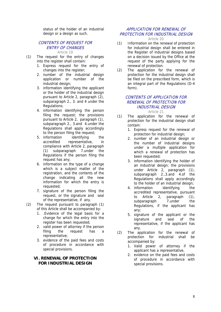status of the holder of an industrial design or a design as such.

#### CONTENTS OF REQUEST FOR ENTRY OF CHANGES Article 19

- (1) The request for the entry of changes into the register shall contain:
	- 1. Express request for the entry of changes into the register;
	- 2. number of the industrial design application or number of the industrial design;
	- 3. information identifying the applicant or the holder of the industrial design pursuant to Article 2, paragraph (2), subparagraph 2., 3. and 4 under the Regulations;
	- 4. information identifying the person filing the request; the provisions pursuant to Article 2, paragraph (1), subparagraph 2., 3.and 4.under the Regulations shall apply accordingly to the person filing the request;
	- 5. information identifying the accredited representative, in compliance with Article 2, paragraph (1) subparagraph 7.under the Regulations if the person filing the request has any;
	- 6. information on the type of a change which is a subject matter of the registration, and the contents of the change indicating all the new information for which the entry is requested;
	- 7. signature of the person filing the request, or the signature and seal of the representative, if any.
- (2) The request pursuant to paragraph (1) of this Article shall be accompanied by:
	- 1. .Evidence of the legal basis for a change for which the entry into the register has been requested;
	- 2. valid power of attorney if the person filing the request has a representative;
	- 3. evidence of the paid fees and costs of procedure in accordance with special provisions.

#### **VI. RENEWAL OF PROTECTION FOR INDUSTRIAL DESIGN**

# APPLICATION FOR RENEWAL OF PROTECTION FOR INDUSTRIAL DESIGN

Article 20

- (1) Information on the renewal of protection for industrial design shall be entered in the Register of industrial designs based on a decision issued by the Office at the request of the party applying for the renewal of protection.
- (2) The application for the renewal of protection for the industrial design shall be filed on the prescribed form, which is an integral part of the Regulations (D-4 form).

#### CONTENTS OF APPLICATION FOR RENEWAL OF PROTECTION FOR INDUSTRIAL DESIGN Article 21

- (1) The application for the renewal of protection for the industrial design shall contain:
	- 1. Express request for the renewal of protection for industrial design;
	- 2. number of an industrial design or the number of industrial designs under a multiple application for which a renewal of protection has been requested;
	- 3. information identifying the holder of an industrial design; the provisions under Article 2, paragraph (1), subparagraph 2.,3.and 4.of the Regulations shall apply accordingly to the holder of an industrial design;
	- 4. information identifying the accredited representative, pursuant to Article 2, paragraph (1), subparagraph 7.under the Regulations, if the applicant has any;
	- 5. signature of the applicant or the signature and seal of the representative, if the applicant has any.
- (2) The application for the renewal of protection for industrial shall be accompanied by:
	- 1. Valid power of attorney if the applicant has a representative,
	- 2. evidence on the paid fees and costs of procedure in accordance with special provisions.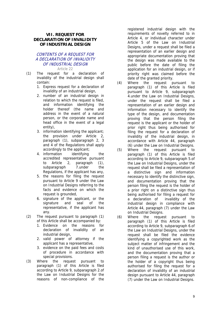#### **VII. REQUEST FOR DECLARATION OF INVALIDITY OF INDUSTRIAL DESIGN**

#### CONTENTS OF A REQUEST FOR A DECLARATION OF INVALIDITY OF INDUSTRIAL DESIGN Article 22

- (1) The request for a declaration of invalidity of the industrial design shall contain:
	- 1. Express request for a declaration of invalidity of an industrial design,
	- 2. number of an industrial design in relation to which the request is filed, and information identifying the holder thereof (the name and address in the event of a natural person, or the corporate name and head office in the event of a legal entity),
	- 3. information identifying the applicant; the provision under Article 2, paragraph (1), subparagraph 2, 3 and 4 of the Regulations shall apply accordingly to the applicant;
	- 4. information identifying the accredited representative pursuant to Article 2, paragraph (1), subparagraph 7.under the Regulations, if the applicant has any,
	- 5. the reasons for filing the request pursuant to Article 9 under the Law on Industrial Designs referring to the facts and evidence on which the request is grounded,
	- 6. signature of the applicant, or the signature and seal of the representative, if the applicant has any.
- (2) The request pursuant to paragraph (1) of this Article shall be accompanied by:
	- 1. Evidence on the reasons for declaration of invalidity of an industrial design,
	- 2. valid power of attorney if the applicant has a representative,
	- 3. evidence on the paid fees and costs of procedure in accordance with special provisions.
- (3) Where the request pursuant to paragraph (1) of this Article is filed according to Article 9, subparagraph 2.of the Law on Industrial Designs for the reasons of non-compliance of the

registered industrial design with the requirements of novelty referred to in Article 4, or individual character under Article 5 of the Law on Industrial Designs, under a request shall be filed a representation of an earlier design and appropriate documentation proving that the design was made available to the public before the date of filing the application for an industrial design, or if priority right was claimed before the date of the granted priority.

- (4) Where the request pursuant to paragraph (1) of this Article is filed pursuant to Article 9, subparagraph 4.under the Law on Industrial Designs, under the request shall be filed a representation of an earlier design and information necessary to identify the type of the design, and documentation proving that the person filing the request is the applicant or the holder of prior right thus being authorised for filing the request for a declaration of invalidity of the industrial design, in accordance with Article 44, paragraph (6) under the Law on Industrial Designs.
- (5) Where the request pursuant to paragraph (1) of this Article is filed according to Article 9, subparagraph 5.of the Law on Industrial Designs, under the request shall be filed a representation of a distinctive sign and information necessary to identify the distinctive sign, and documentation proving that the person filing the request is the holder of a prior right on a distinctive sign thus being authorised for filing a request for a declaration of invalidity of the industrial design in compliance with Article 44, paragraph (7) under the Law on Industrial Designs.
- (6) Where the request pursuant to paragraph (1) of this Article is filed according to Article 9, subparagraph 6.of the Law on Industrial Designs, under the request shall be filed the evidence identifying a copyrighted work as the subject matter of infringement and the kind of unauthorised use of this work, and the documentation proving that a person filing a request is the author or the holder of a copyright thus being authorised for filing the request for a declaration of invalidity of an industrial design pursuant to Article 44, paragraph (7) under the Law on Industrial Designs.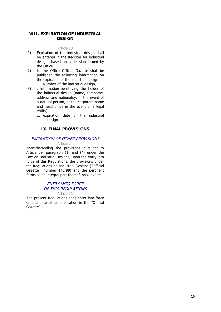#### **VIII. EXPIRATION OF INDUSTRIAL DESIGN**

#### Article 23

- (1) Expiration of the industrial design shall be entered in the Register for industrial designs based on a decision issued by the Office.
- (2) In the Office Official Gazette shall be published the following information on the expiration of the industrial design: 1. Number of the industrial design,
- (3) . information identifying the holder of the industrial design (name, forename, address and nationality, in the event of a natural person, or the corporate name and head office in the event of a legal entity),
	- 1. expiration date of the industrial design.

#### **IX. FINAL PROVISIONS**

#### EXPIRATION OF OTHER PROVISIONS

#### Article 24

Notwithstanding the provisions pursuant to Article 59, paragraph (1) and (4) under the Law on Industrial Designs, upon the entry into force of this Regulations, the provisions under the Regulations on Industrial Designs ("Official Gazette", number 146/99) and the pertinent forms as an integral part thereof, shall expire.

#### ENTRY INTO FORCE OF THIS REGULATIONS Article 25

The present Regulations shall enter into force on the date of its publication in the "Official Gazette".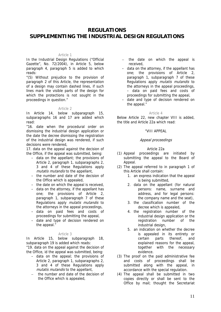# **REGULATIONS SUPPLEMENTING THE INDUSTRIAL DESIGN REGULATIONS**

#### Article 1

In the Industrial Design Regulations ("Official Gazette", No. 72/2004), in Article 5, below paragraph 4, paragraph 5 is added to which reads:

"(5) Without prejudice to the provision of paragraph 2 of this Article, the representation of a design may contain dashed lines, if such lines mark the visible parts of the design for which the protections is not sought in the proceedings in question."

#### Article 2

In Article 14, below subparagraph 15, subparagraphs 16 and 17 are added which read:

"16. date when the procedural order on dismissing the industrial design application or the date the decree dismissing the registration of the industrial design was rendered, if such decisions were rendered,

17. data on the appeal against the decision of the Office, if the appeal was submitted, being:

- data on the appellant; the provisions of Article 2, paragraph 1, subparagraphs 2, 3 and 4 of these Regulations apply mutatis mutandis to the appellant,
- the number and date of the decision of the Office which is appealed,
- the date on which the appeal is received,
- data on the attorney, if the appellant has one; the provisions of Article 2, paragraph 1, subparagraph 7 of these Regulations apply mutatis mutandis to the attorneys in the appeal proceedings,
- data on paid fees and costs of proceedings for submitting the appeal,
- date and type of decision rendered on the appeal."

#### Article 3

In Article 15, below subparagraph 18, subparagraph 19 is added which reads: "19. data on the appeal against the decision of the Office, id the appeal was submitted, being:

- data on the appeal; the provisions of Article 2, paragraph 1, subparagraphs 2, 3 and 4 of these Regulations apply mutatis mutandis to the appellant,
- the number and date of the decision of the Office which is appealed,
- the date on which the appeal is received,
- data on the attorney, if the appellant has one; the provisions of Article 2, paragraph 1, subparagraph 7 of these Regulations apply mutatis mutandis to the attorneys in the appeal proceedings, – data on paid fees and costs of proceedings for submitting the appeal,
- date and type of decision rendered on the appeal."

#### $ArtichA$

Below Article 22, new chapter VIII is added, the title and Article 22a which read:

#### "VIII APPEAL

#### Appeal proceedings

#### Article 22a

- (1) Appeal proceedings are initiated by submitting the appeal to the Board of Appeal.
- (2) The appeal referred to in paragraph 1 of this Article shall contain:
	- 1. an express indication that the appeal is being submitted,
	- 2. data on the appellant (for natural persons: name, surname and address, and for legal persons: the company name and the seat),
	- 3. the classification number of the decree which is appealed,
	- 4. the registration number of the industrial design application or the registration number of the industrial design,
	- 5. an indication on whether the decree is appealed in its entirety or certain parts thereof, and explained reasons for the appeal, together with the necessary evidence.
- (3) The proof on the paid administrative fee and costs of proceedings shall be submitted along with the appeal, in accordance with the special regulation.
- (4) The appeal shall be submitted in two copies directly or shall be sent to the Office by mail; thought the Secretariat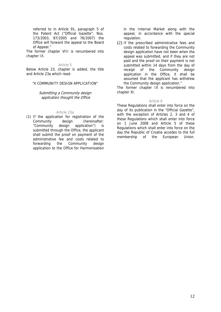referred to in Article 91, paragraph 5 of the Patent Act ("Official Gazette", Nos. 173/2003, 87/2005 and 76/2007) the Office will forward the appeal to the Board of Appeal."

The former chapter VIII is renumbered into chapter IX.

#### Article 5

Below Article 23, chapter is added, the title and Article 23a which read:

#### "X COMMUNITY DESIGN APPLICATION"

#### Submitting a Community design application thought the Office

#### Article 23a

(1) If the application for registration of the Community design (hereinafter: "Community design application") is submitted through the Office, the applicant shall submit the proof on payment of the administrative fee and costs related to forwarding the Community design application to the Office for Harmonisation in the Internal Market along with the appeal, in accordance with the special regulation.

(2) If the prescribed administrative fees and costs related to forwarding the Community design application have not been when the appeal was submitted, and if they are not paid and the proof on their payment is not submitted within 14 days from the day of receipt of the Community design application in the Office, it shall be assumed that the applicant has withdrew the Community design application."

The former chapter IX is renumbered into chapter XI.

#### Article 6

These Regulations shall enter into force on the day of its publication in the "Official Gazette", with the exception of Articles 2, 3 and 4 of these Regulations which shall enter into force on 1 June 2008 and Article 5 of these Regulations which shall enter into force on the day the Republic of Croatia accedes to the full membership of the European Union.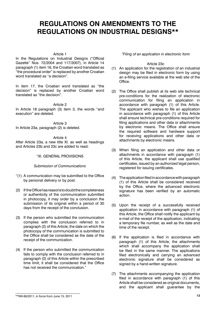# **REGULATIONS ON AMENDMENTS TO THE REGULATIONS ON INDUSTRIAL DESIGNS\*\***

#### Article 1

In the Regulations on Industrial Designs ("Official Gazette" Nos. 72/2004 and 117/2007), in Article 14 paragraph (1) item 16, the Croatian word translated as "the procedural order" is replaced by another Croatian word translated as "a decision".

In item 17, the Croatian word translated as "the decision" is replaced by another Croatian word translated as "the decision".

Article 2

In Article 18 paragraph (3) item 3, the words "and execution" are deleted.

Article 3 In Article 23a, paragraph (2) is deleted.

Article 4

After Article 23a, a new title XI. as well as headings and Articles 23b and 23c are added to read:

#### "XI. GENERAL PROVISIONS

#### *Submission of Communications*

- "(1) A communication may be submitted to the Office by personal delivery or by post.
- (2) If the Officehasreasonstodoubtthecompleteness or authenticity of the communication submitted in photocopy, it may order by a conclusion the submission of its original within a period of 30 days from the receipt of the conclusion.
- (3) If the person who submitted the communication complies with the conclusion referred to in paragraph (2) of this Article, the date on which the photocopy of the communication is submitted to the Office shall be considered as the date of the receipt of the communication.
- (4) If the person who submitted the communication fails to comply with the conclusion referred to in paragraph (2) of this Article within the prescribed time limit, it shall be considered that the Office has not received the communication."

*"Filing of an application in electronic form*

#### Article 23c

- (1) An application for the registration of an industrial design may be filed in electronic form by using an e-filing service available at the web site of the Office.
- (2) The Office shall publish at its web site technical pre-conditions for the realization of electronic communication for filing an application in accordance with paragraph (1) of this Article. The applicant who wishes to file an application in accordance with paragraph (1) of this Article shall ensure technical pre-conditions required for filing applications and other data or attachments by electronic means. The Office shall ensure the required software and hardware support for receiving applications and other data or attachments by electronic means.
- (3) When filing an application and other data or attachments in accordance with paragraph (1) of this Article, the applicant shall use qualified certificates, issued by an authorized legal person, registered for issuing certificates.
- (4) The application filedinaccordancewithparagraph (1) of this Article shall be considered received by the Office, where the advanced electronic signature has been verified by an automatic action.
- (5) Upon the receipt of a successfully received application in accordance with paragraph (1) of this Article, the Office shall notify the applicant by e-mail of the receipt of the application, indicating a temporary file number, as well as the date and time of the receipt.
- (6) If the application is filed in accordance with paragraph (1) of this Article, the attachments which shall accompany the application shall be filed in the same manner. The applications filed electronically and carrying an advanced electronic signature shall be considered as signed by a hand-written signature.
- (7) The attachments accompanying the application filed in accordance with paragraph (1) of this Article shall be considered as original documents, and the applicant shall guarantee by the

<sup>\*\*</sup>NN 66/2011, in force from June 15, 2011